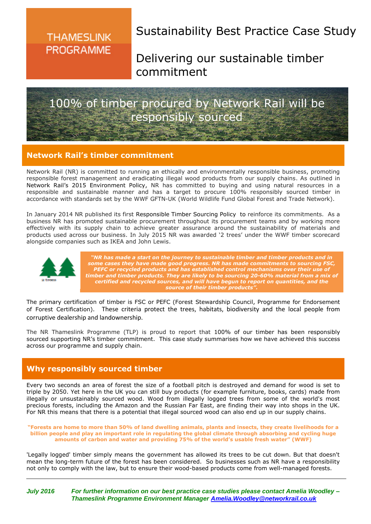# **THAMESLINK PROGRAMME**

# Sustainability Best Practice Case Study

Delivering our sustainable timber commitment

# 100% of timber procured by Network Rail will be responsibly sourced

## **Network Rail's timber commitment**

Network Rail (NR) is committed to running an ethically and environmentally responsible business, promoting responsible forest management and eradicating illegal wood products from our supply chains. As outlined in [Network Rail's 2015 Environment Policy](https://safety.networkrail.co.uk/safety/environment/), NR has committed to buying and using natural resources in a responsible and sustainable manner and has a target to procure 100% responsibly sourced timber in accordance with standards set by the WWF GFTN-UK (World Wildlife Fund Global Forest and Trade Network).

In January 2014 NR published its first [Responsible Timber](https://safety.networkrail.co.uk/wp-content/uploads/2015/07/Network-Rail-Responsible-Timber-Policy.pdf) Sourcing Policy to reinforce its commitments. As a business NR has promoted sustainable procurement throughout its procurement teams and by working more effectively with its supply chain to achieve greater assurance around the sustainability of materials and products used across our business. In July 2015 NR was awarded '2 trees' under the WWF timber scorecard alongside companies such as IKEA and John Lewis.



*"NR has made a start on the journey to sustainable timber and timber products and in some cases they have made good progress. NR has made commitments to sourcing FSC, PEFC or recycled products and has established control mechanisms over their use of timber and timber products. They are likely to be sourcing 20-60% material from a mix of certified and recycled sources, and will have begun to report on quantities, and the source of their timber products".*

The primary certification of timber is FSC or PEFC (Forest Stewardship Council, Programme for Endorsement of Forest Certification). These criteria protect the trees, habitats, biodiversity and the local people from corruptive dealership and landownership.

The NR Thameslink Programme (TLP) is proud to report that 100% of our timber has been responsibly sourced supporting NR's timber commitment. This case study summarises how we have achieved this success across our programme and supply chain.

## **Why responsibly sourced timber**

Every two seconds an area of forest the size of a football pitch is destroyed and demand for wood is set to triple by 2050. Yet here in the UK you can still buy products (for example furniture, books, cards) made from illegally or unsustainably sourced wood. Wood from illegally logged trees from some of the world's most precious forests, including the Amazon and the Russian Far East, are finding their way into shops in the UK. For NR this means that there is a potential that illegal sourced wood can also end up in our supply chains.

**"Forests are home to more than 50% of land dwelling animals, plants and insects, they create livelihoods for a billion people and play an important role in regulating the global climate through absorbing and cycling huge amounts of carbon and water and providing 75% of the world's usable fresh water" (WWF)**

'Legally logged' timber simply means the government has allowed its trees to be cut down. But that doesn't mean the long-term future of the forest has been considered. So businesses such as NR have a responsibility not only to comply with the law, but to ensure their wood-based products come from well-managed forests.

*July 2016 For further information on our best practice case studies please contact Amelia Woodley – Thameslink Programme Environment Manager [Amelia.Woodley@networkrail.co.uk](mailto:Amelia.Woodley@networkrail.co.uk)*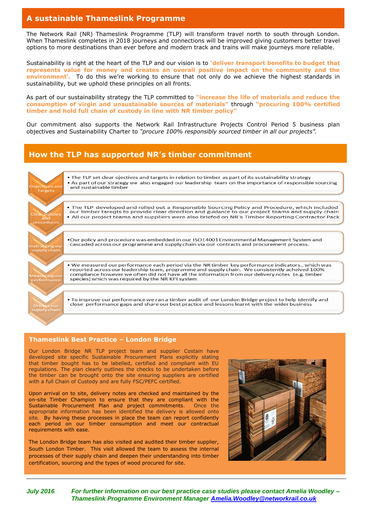#### **A sustainable Thameslink Programme**

The Network Rail (NR) Thameslink Programme (TLP) will transform travel north to south through London. When Thameslink completes in 2018 journeys and connections will be improved giving customers better travel options to more destinations than ever before and modern track and trains will make journeys more reliable.

Sustainability is right at the heart of the TLP and our vision is to **'deliver transport benefits to budget that represents value for money and creates an overall positive impact on the community and the environment'.** To do this we're working to ensure that not only do we achieve the highest standards in sustainability, but we uphold these principles on all fronts.

As part of our sustainability strategy the TLP committed to **"increase the life of materials and reduce the consumption of virgin and unsustainable sources of materials"** through **"procuring 100% certified timber and hold full chain of custody in line with NR timber policy"**

Our commitment also supports the Network Rail Infrastructure Projects Control Period 5 business plan objectives and Sustainability Charter to *"procure 100% responsibly sourced timber in all our projects".*

## **How the TLP has supported NR's timber commitment**



#### **Thameslink Best Practice – London Bridge**

Our London Bridge NR TLP project team and supplier Costain have developed site specific Sustainable Procurement Plans explicitly stating that timber bought has to be labelled, certified and compliant with EU regulations. The plan clearly outlines the checks to be undertaken before the timber can be brought onto the site ensuring suppliers are certified with a full Chain of Custody and are fully FSC/PEFC certified.

Upon arrival on to site, delivery notes are checked and maintained by the on-site Timber Champion to ensure that they are compliant with the Sustainable Procurement Plan and project commitments. Once the appropriate information has been identified the delivery is allowed onto site. By having these processes in place the team can report confidently each period on our timber consumption and meet our contractual requirements with ease.

 processes of their supply chain and deepen their understanding into timber The London Bridge team has also visited and audited their timber supplier, South London Timber. This visit allowed the team to assess the internal certification, sourcing and the types of wood procured for site.



*July 2016 For further information on our best practice case studies please contact Amelia Woodley – Thameslink Programme Environment Manager [Amelia.Woodley@networkrail.co.uk](mailto:Amelia.Woodley@networkrail.co.uk)*